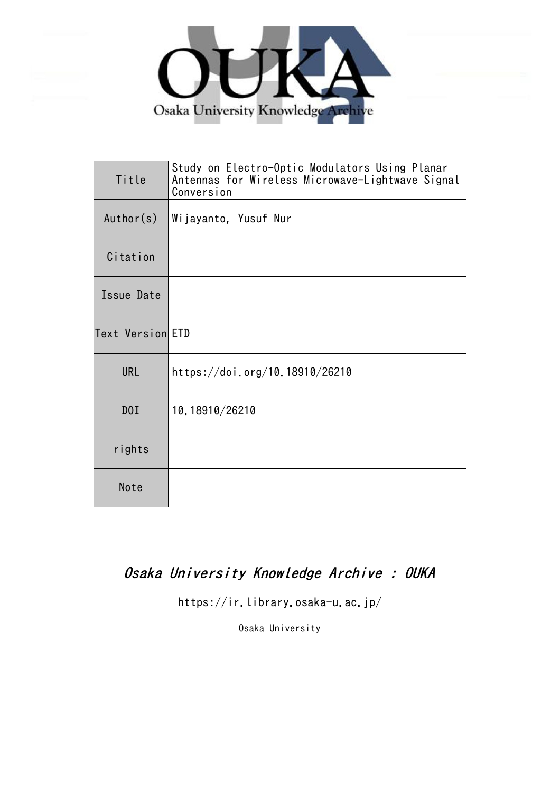

| Title            | Study on Electro-Optic Modulators Using Planar<br>Antennas for Wireless Microwave-Lightwave Signal<br>Conversion |
|------------------|------------------------------------------------------------------------------------------------------------------|
| Author(s)        | Wijayanto, Yusuf Nur                                                                                             |
| Citation         |                                                                                                                  |
| Issue Date       |                                                                                                                  |
| Text Version ETD |                                                                                                                  |
| <b>URL</b>       | https://doi.org/10.18910/26210                                                                                   |
| D0I              | 10.18910/26210                                                                                                   |
| rights           |                                                                                                                  |
| Note             |                                                                                                                  |

## Osaka University Knowledge Archive : OUKA

https://ir.library.osaka-u.ac.jp/

Osaka University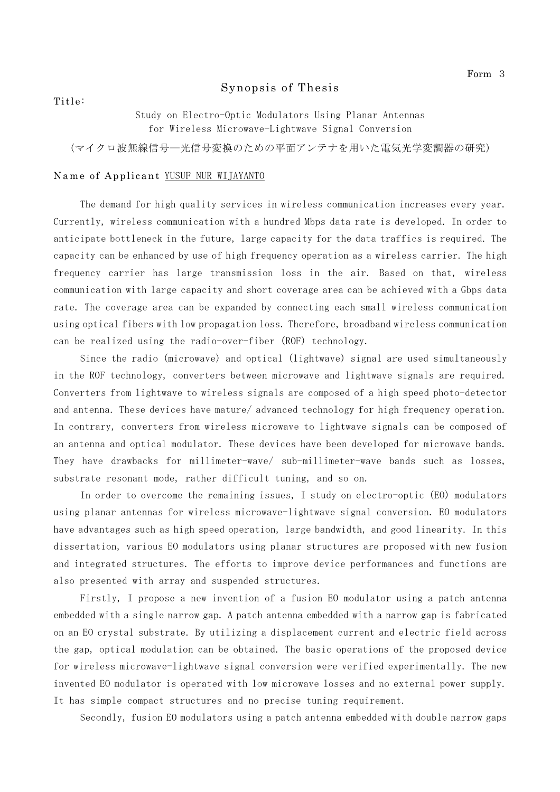## Synopsis of Thesis

Title:

Study on Electro-Optic Modulators Using Planar Antennas for Wireless Microwave-Lightwave Signal Conversion

(マイクロ波無線信号―光信号変換のための平面アンテナを用いた電気光学変調器の研究)

## Name of Applicant YUSUF NUR WIJAYANTO

The demand for high quality services in wireless communication increases every year. Currently, wireless communication with a hundred Mbps data rate is developed. In order to anticipate bottleneck in the future, large capacity for the data traffics is required. The capacity can be enhanced by use of high frequency operation as a wireless carrier. The high frequency carrier has large transmission loss in the air. Based on that, wireless communication with large capacity and short coverage area can be achieved with a Gbps data rate. The coverage area can be expanded by connecting each small wireless communication using optical fibers with low propagation loss. Therefore, broadband wireless communication can be realized using the radio-over-fiber (ROF) technology.

Since the radio (microwave) and optical (lightwave) signal are used simultaneously in the ROF technology, converters between microwave and lightwave signals are required. Converters from lightwave to wireless signals are composed of a high speed photo-detector and antenna. These devices have mature/ advanced technology for high frequency operation. In contrary, converters from wireless microwave to lightwave signals can be composed of an antenna and optical modulator. These devices have been developed for microwave bands. They have drawbacks for millimeter-wave/ sub-millimeter-wave bands such as losses, substrate resonant mode, rather difficult tuning, and so on.

In order to overcome the remaining issues, I study on electro-optic (EO) modulators using planar antennas for wireless microwave-lightwave signal conversion. EO modulators have advantages such as high speed operation, large bandwidth, and good linearity. In this dissertation, various EO modulators using planar structures are proposed with new fusion and integrated structures. The efforts to improve device performances and functions are also presented with array and suspended structures.

Firstly, I propose a new invention of a fusion EO modulator using a patch antenna embedded with a single narrow gap. A patch antenna embedded with a narrow gap is fabricated on an EO crystal substrate. By utilizing a displacement current and electric field across the gap, optical modulation can be obtained. The basic operations of the proposed device for wireless microwave-lightwave signal conversion were verified experimentally. The new invented EO modulator is operated with low microwave losses and no external power supply. It has simple compact structures and no precise tuning requirement.

Secondly, fusion EO modulators using a patch antenna embedded with double narrow gaps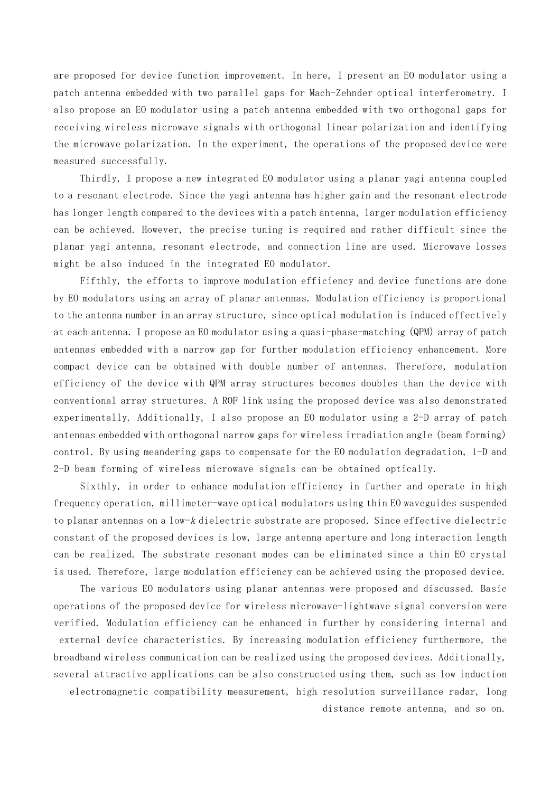are proposed for device function improvement. In here, I present an EO modulator using a patch antenna embedded with two parallel gaps for Mach-Zehnder optical interferometry. I also propose an EO modulator using a patch antenna embedded with two orthogonal gaps for receiving wireless microwave signals with orthogonal linear polarization and identifying the microwave polarization. In the experiment, the operations of the proposed device were measured successfully.

Thirdly, I propose a new integrated EO modulator using a planar yagi antenna coupled to a resonant electrode. Since the yagi antenna has higher gain and the resonant electrode has longer length compared to the devices with a patch antenna, larger modulation efficiency can be achieved. However, the precise tuning is required and rather difficult since the planar yagi antenna, resonant electrode, and connection line are used. Microwave losses might be also induced in the integrated EO modulator.

Fifthly, the efforts to improve modulation efficiency and device functions are done by EO modulators using an array of planar antennas. Modulation efficiency is proportional to the antenna number in an array structure, since optical modulation is induced effectively at each antenna. I propose an EO modulator using a quasi-phase-matching (QPM) array of patch antennas embedded with a narrow gap for further modulation efficiency enhancement. More compact device can be obtained with double number of antennas. Therefore, modulation efficiency of the device with QPM array structures becomes doubles than the device with conventional array structures. A ROF link using the proposed device was also demonstrated experimentally. Additionally, I also propose an EO modulator using a 2-D array of patch antennas embedded with orthogonal narrow gaps for wireless irradiation angle (beam forming) control. By using meandering gaps to compensate for the EO modulation degradation, 1-D and 2-D beam forming of wireless microwave signals can be obtained optically.

Sixthly, in order to enhance modulation efficiency in further and operate in high frequency operation, millimeter-wave optical modulators using thin EO waveguides suspended to planar antennas on a low-k dielectric substrate are proposed. Since effective dielectric constant of the proposed devices is low, large antenna aperture and long interaction length can be realized. The substrate resonant modes can be eliminated since a thin EO crystal is used. Therefore, large modulation efficiency can be achieved using the proposed device.

The various EO modulators using planar antennas were proposed and discussed. Basic operations of the proposed device for wireless microwave-lightwave signal conversion were verified. Modulation efficiency can be enhanced in further by considering internal and external device characteristics. By increasing modulation efficiency furthermore, the broadband wireless communication can be realized using the proposed devices. Additionally, several attractive applications can be also constructed using them, such as low induction electromagnetic compatibility measurement, high resolution surveillance radar, long distance remote antenna, and so on.